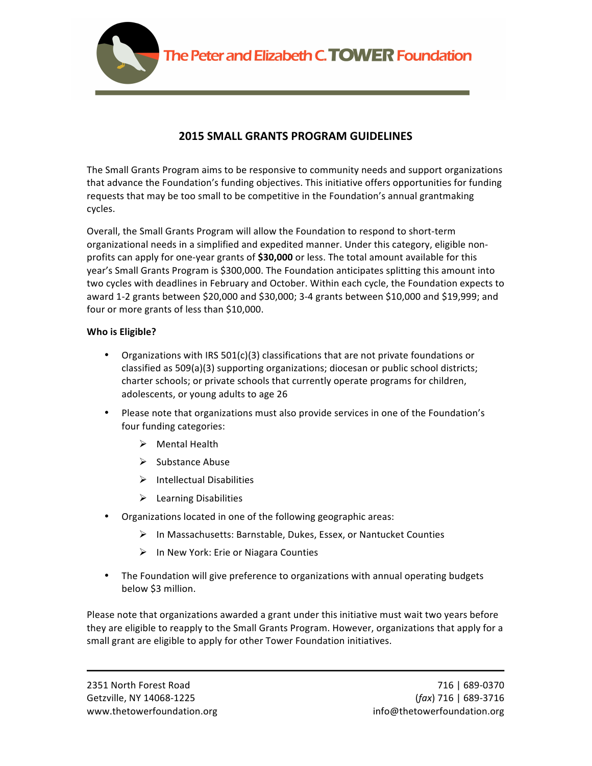

# **2015 SMALL GRANTS PROGRAM GUIDELINES**

The Small Grants Program aims to be responsive to community needs and support organizations that advance the Foundation's funding objectives. This initiative offers opportunities for funding requests that may be too small to be competitive in the Foundation's annual grantmaking cycles.

Overall, the Small Grants Program will allow the Foundation to respond to short-term organizational needs in a simplified and expedited manner. Under this category, eligible nonprofits can apply for one-year grants of **\$30,000** or less. The total amount available for this year's Small Grants Program is \$300,000. The Foundation anticipates splitting this amount into two cycles with deadlines in February and October. Within each cycle, the Foundation expects to award 1-2 grants between \$20,000 and \$30,000; 3-4 grants between \$10,000 and \$19,999; and four or more grants of less than \$10,000.

## **Who is Eligible?**

- Organizations with IRS  $501(c)(3)$  classifications that are not private foundations or classified as 509(a)(3) supporting organizations; diocesan or public school districts; charter schools; or private schools that currently operate programs for children, adolescents, or young adults to age 26
- Please note that organizations must also provide services in one of the Foundation's four funding categories:
	- $\triangleright$  Mental Health
	- $\triangleright$  Substance Abuse
	- $\triangleright$  Intellectual Disabilities
	- $\blacktriangleright$  Learning Disabilities
- Organizations located in one of the following geographic areas:
	- $\triangleright$  In Massachusetts: Barnstable, Dukes, Essex, or Nantucket Counties
	- $\triangleright$  In New York: Erie or Niagara Counties
- The Foundation will give preference to organizations with annual operating budgets below \$3 million.

Please note that organizations awarded a grant under this initiative must wait two years before they are eligible to reapply to the Small Grants Program. However, organizations that apply for a small grant are eligible to apply for other Tower Foundation initiatives.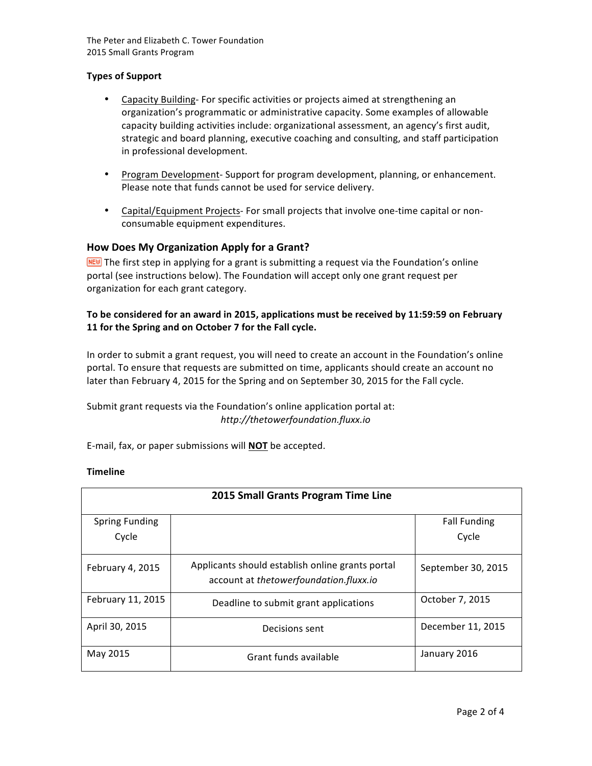The Peter and Elizabeth C. Tower Foundation 2015 Small Grants Program

#### **Types of Support**

- Capacity Building- For specific activities or projects aimed at strengthening an organization's programmatic or administrative capacity. Some examples of allowable capacity building activities include: organizational assessment, an agency's first audit, strategic and board planning, executive coaching and consulting, and staff participation in professional development.
- Program Development- Support for program development, planning, or enhancement. Please note that funds cannot be used for service delivery.
- Capital/Equipment Projects- For small projects that involve one-time capital or nonconsumable equipment expenditures.

#### **How Does My Organization Apply for a Grant?**

 $F^{\text{HEU}}$  The first step in applying for a grant is submitting a request via the Foundation's online portal (see instructions below). The Foundation will accept only one grant request per organization for each grant category.

## To be considered for an award in 2015, applications must be received by 11:59:59 on February 11 for the Spring and on October 7 for the Fall cycle.

In order to submit a grant request, you will need to create an account in the Foundation's online portal. To ensure that requests are submitted on time, applicants should create an account no later than February 4, 2015 for the Spring and on September 30, 2015 for the Fall cycle.

Submit grant requests via the Foundation's online application portal at: *http://thetowerfoundation.fluxx.io*

E-mail, fax, or paper submissions will **NOT** be accepted.

#### **Timeline**

| 2015 Small Grants Program Time Line |                                                                                            |                     |
|-------------------------------------|--------------------------------------------------------------------------------------------|---------------------|
| <b>Spring Funding</b>               |                                                                                            | <b>Fall Funding</b> |
| Cycle                               |                                                                                            | Cycle               |
| February 4, 2015                    | Applicants should establish online grants portal<br>account at thetowerfoundation.fluxx.io | September 30, 2015  |
| February 11, 2015                   | Deadline to submit grant applications                                                      | October 7, 2015     |
| April 30, 2015                      | Decisions sent                                                                             | December 11, 2015   |
| May 2015                            | Grant funds available                                                                      | January 2016        |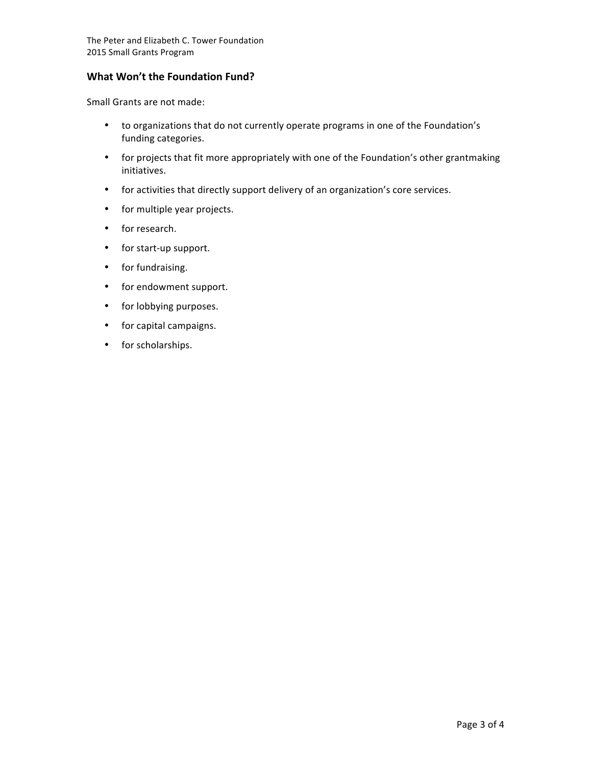## **What Won't the Foundation Fund?**

Small Grants are not made:

- to organizations that do not currently operate programs in one of the Foundation's funding categories.
- for projects that fit more appropriately with one of the Foundation's other grantmaking initiatives.
- for activities that directly support delivery of an organization's core services.
- for multiple year projects.
- for research.
- for start-up support.
- for fundraising.
- for endowment support.
- for lobbying purposes.
- for capital campaigns.
- for scholarships.